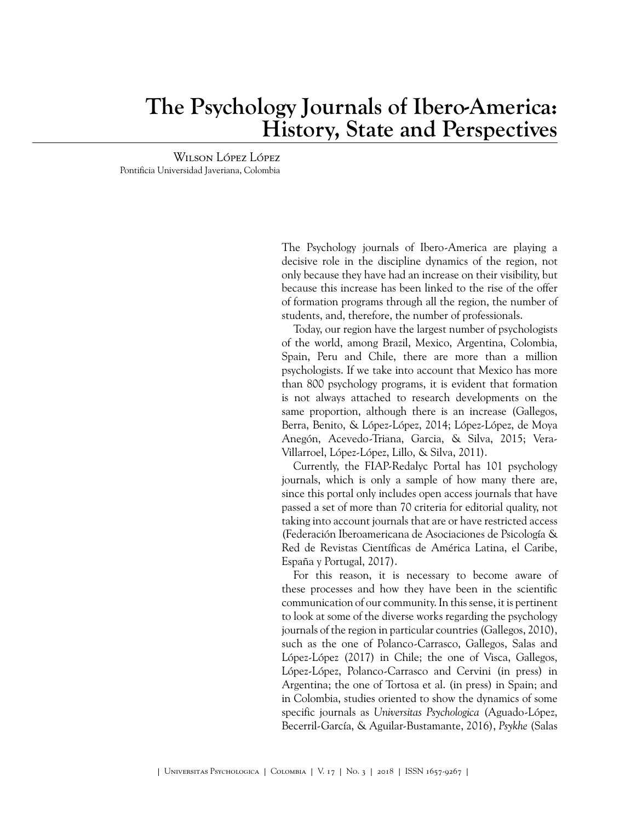## **The Psychology Journals of Ibero-America: History, State and Perspectives**

Wilson López López Pontificia Universidad Javeriana, Colombia

> The Psychology journals of Ibero-America are playing a decisive role in the discipline dynamics of the region, not only because they have had an increase on their visibility, but because this increase has been linked to the rise of the offer of formation programs through all the region, the number of students, and, therefore, the number of professionals.

> Today, our region have the largest number of psychologists of the world, among Brazil, Mexico, Argentina, Colombia, Spain, Peru and Chile, there are more than a million psychologists. If we take into account that Mexico has more than 800 psychology programs, it is evident that formation is not always attached to research developments on the same proportion, although there is an increase [\(Gallegos,](#page-1-0) [Berra, Benito, & López-López, 2014;](#page-1-0) [López-López, de Moya](#page-1-1) [Anegón, Acevedo-Triana, Garcia, & Silva, 2015](#page-1-1); [Vera-](#page-2-0)[Villarroel, López-López, Lillo, & Silva, 2011](#page-2-0)).

> Currently, the FIAP-Redalyc Portal has 101 psychology journals, which is only a sample of how many there are, since this portal only includes open access journals that have passed a set of more than 70 criteria for editorial quality, not taking into account journals that are or have restricted access [\(Federación Iberoamericana de Asociaciones de Psicología &](#page-1-2) [Red de Revistas Científicas de América Latina, el Caribe,](#page-1-2) [España y Portugal, 2017](#page-1-2)).

> For this reason, it is necessary to become aware of these processes and how they have been in the scientific communication of our community. In this sense, it is pertinent to look at some of the diverse works regarding the psychology journals of the region in particular countries ([Gallegos, 2010\)](#page-1-3), such as the one of [Polanco-Carrasco, Gallegos, Salas and](#page-1-4) [López-López \(2017\)](#page-1-4) in Chile; the one of [Visca, Gallegos,](#page-2-1) [López-López, Polanco-Carrasco and Cervini \(in press\)](#page-2-1) in Argentina; the one of [Tortosa et al. \(in press\)](#page-1-5) in Spain; and in Colombia, studies oriented to show the dynamics of some specific journals as *Universitas Psychologica* [\(Aguado-López,](#page-1-6) [Becerril-García, & Aguilar-Bustamante, 2016](#page-1-6)), *Psykhe* [\(Salas](#page-1-7)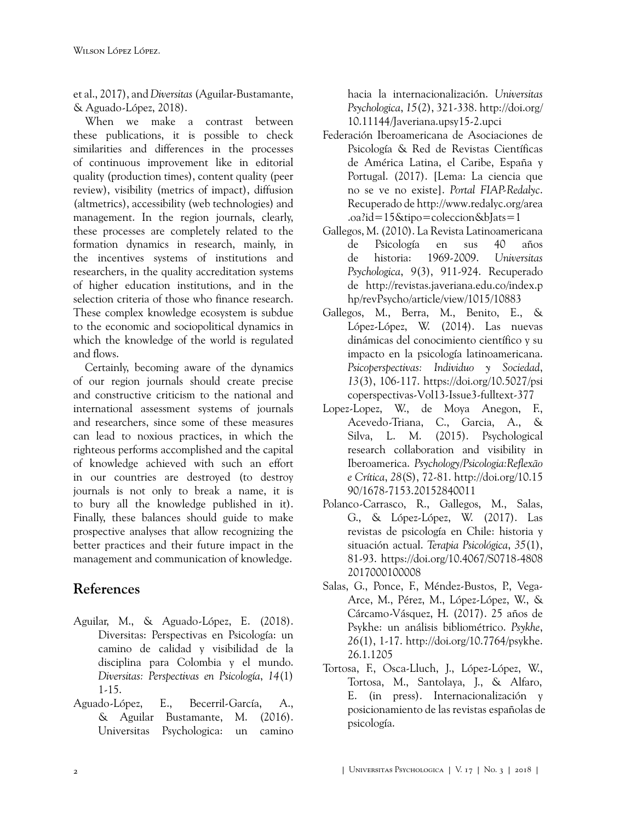[et al., 2017](#page-1-7)), and *Diversitas* [\(Aguilar-Bustamante,](#page-1-8) [& Aguado-López, 2018](#page-1-8)).

When we make a contrast between these publications, it is possible to check similarities and differences in the processes of continuous improvement like in editorial quality (production times), content quality (peer review), visibility (metrics of impact), diffusion (altmetrics), accessibility (web technologies) and management. In the region journals, clearly, these processes are completely related to the formation dynamics in research, mainly, in the incentives systems of institutions and researchers, in the quality accreditation systems of higher education institutions, and in the selection criteria of those who finance research. These complex knowledge ecosystem is subdue to the economic and sociopolitical dynamics in which the knowledge of the world is regulated and flows.

Certainly, becoming aware of the dynamics of our region journals should create precise and constructive criticism to the national and international assessment systems of journals and researchers, since some of these measures can lead to noxious practices, in which the righteous performs accomplished and the capital of knowledge achieved with such an effort in our countries are destroyed (to destroy journals is not only to break a name, it is to bury all the knowledge published in it). Finally, these balances should guide to make prospective analyses that allow recognizing the better practices and their future impact in the management and communication of knowledge.

## **References**

- <span id="page-1-8"></span>Aguilar, M., & Aguado-López, E. (2018). Diversitas: Perspectivas en Psicología: un camino de calidad y visibilidad de la disciplina para Colombia y el mundo. *Diversitas: Perspectivas en Psicología*, *14*(1) 1-15.
- <span id="page-1-6"></span>Aguado-López, E., Becerril-García, A., & Aguilar Bustamante, M. (2016). Universitas Psychologica: un camino

hacia la internacionalización. *Universitas Psychologica*, *15*(2), 321-338. [http://doi.org/](http://doi.org/10.11144/Javeriana.upsy15-2.upci) [10.11144/Javeriana.upsy15-2.upci](http://doi.org/10.11144/Javeriana.upsy15-2.upci)

- <span id="page-1-2"></span>Federación Iberoamericana de Asociaciones de Psicología & Red de Revistas Científicas de América Latina, el Caribe, España y Portugal. (2017). [Lema: La ciencia que no se ve no existe]. *Portal FIAP-Redalyc*. Recuperado de [http://www.redalyc.org/area](http://www.redalyc.org/area.oa?id=15&tipo=coleccion&bJats=1) [.oa?id=15&tipo=coleccion&bJats=1](http://www.redalyc.org/area.oa?id=15&tipo=coleccion&bJats=1)
- <span id="page-1-3"></span>Gallegos, M. (2010). La Revista Latinoamericana de Psicología en sus 40 años de historia: 1969-2009. *Universitas Psychologica*, *9*(3), 911-924. Recuperado de [http://revistas.javeriana.edu.co/index.p](http://revistas.javeriana.edu.co/index.php/revPsycho/article/view/1015/10883) [hp/revPsycho/article/view/1015/10883](http://revistas.javeriana.edu.co/index.php/revPsycho/article/view/1015/10883)
- <span id="page-1-0"></span>Gallegos, M., Berra, M., Benito, E., & López-López, W. (2014). Las nuevas dinámicas del conocimiento científico y su impacto en la psicología latinoamericana. *Psicoperspectivas: Individuo y Sociedad*, *13*(3), 106-117. [https://doi.org/10.5027/psi](https://doi.org/10.5027/psicoperspectivas-Vol13-Issue3-fulltext-377) [coperspectivas-Vol13-Issue3-fulltext-377](https://doi.org/10.5027/psicoperspectivas-Vol13-Issue3-fulltext-377)
- <span id="page-1-1"></span>Lopez-Lopez, W., de Moya Anegon, F., Acevedo-Triana, C., Garcia, A., & Silva, L. M. (2015). Psychological research collaboration and visibility in Iberoamerica. *Psychology/Psicologia:Reflexão e Crítica*, *28*(S), 72-81. [http://doi.org/10.15](http://doi.org/10.1590/1678-7153.20152840011) [90/1678-7153.20152840011](http://doi.org/10.1590/1678-7153.20152840011)
- <span id="page-1-4"></span>Polanco-Carrasco, R., Gallegos, M., Salas, G., & López-López, W. (2017). Las revistas de psicología en Chile: historia y situación actual. *Terapia Psicológica*, *35*(1), 81-93. [https://doi.org/10.4067/S0718-4808](https://doi.org/10.4067/S0718-48082017000100008) [2017000100008](https://doi.org/10.4067/S0718-48082017000100008)
- <span id="page-1-7"></span>Salas, G., Ponce, F., Méndez-Bustos, P., Vega-Arce, M., Pérez, M., López-López, W., & Cárcamo-Vásquez, H. (2017). 25 años de Psykhe: un análisis bibliométrico. *Psykhe*, *26*(1), 1-17. [http://doi.org/10.7764/psykhe.](http://doi.org/10.7764/psykhe.26.1.1205) [26.1.1205](http://doi.org/10.7764/psykhe.26.1.1205)
- <span id="page-1-5"></span>Tortosa, F., Osca-Lluch, J., López-López, W., Tortosa, M., Santolaya, J., & Alfaro, E. (in press). Internacionalización y posicionamiento de las revistas españolas de psicología.